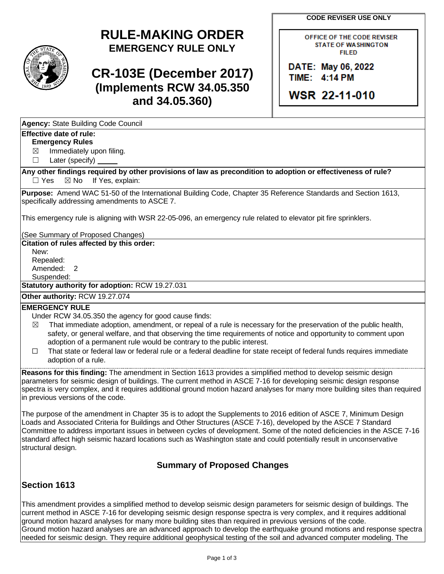**CODE REVISER USE ONLY**

# **RULE-MAKING ORDER EMERGENCY RULE ONLY**

# **CR-103E (December 2017) (Implements RCW 34.05.350 and 34.05.360)**

OFFICE OF THE CODE REVISER **STATE OF WASHINGTON FILED** 

DATE: May 06, 2022 TIME: 4:14 PM

WSR 22-11-010

| Agency: State Building Code Council |  |  |
|-------------------------------------|--|--|
|                                     |  |  |

### **Effective date of rule:**

**Emergency Rules**

 $\boxtimes$  Immediately upon filing.

☐ Later (specify)

**Any other findings required by other provisions of law as precondition to adoption or effectiveness of rule?** □ Yes ⊠ No If Yes, explain:

**Purpose:** Amend WAC 51-50 of the International Building Code, Chapter 35 Reference Standards and Section 1613, specifically addressing amendments to ASCE 7.

This emergency rule is aligning with WSR 22-05-096, an emergency rule related to elevator pit fire sprinklers.

(See Summary of Proposed Changes)

**Citation of rules affected by this order:**

New: Repealed: Amended: 2

Suspended:

**Statutory authority for adoption:** RCW 19.27.031

## **Other authority:** RCW 19.27.074

#### **EMERGENCY RULE**

Under RCW 34.05.350 the agency for good cause finds:

- $\boxtimes$  That immediate adoption, amendment, or repeal of a rule is necessary for the preservation of the public health, safety, or general welfare, and that observing the time requirements of notice and opportunity to comment upon adoption of a permanent rule would be contrary to the public interest.
- ☐ That state or federal law or federal rule or a federal deadline for state receipt of federal funds requires immediate adoption of a rule.

**Reasons for this finding:** The amendment in Section 1613 provides a simplified method to develop seismic design parameters for seismic design of buildings. The current method in ASCE 7-16 for developing seismic design response spectra is very complex, and it requires additional ground motion hazard analyses for many more building sites than required in previous versions of the code.

The purpose of the amendment in Chapter 35 is to adopt the Supplements to 2016 edition of ASCE 7, Minimum Design Loads and Associated Criteria for Buildings and Other Structures (ASCE 7-16), developed by the ASCE 7 Standard Committee to address important issues in between cycles of development. Some of the noted deficiencies in the ASCE 7-16 standard affect high seismic hazard locations such as Washington state and could potentially result in unconservative structural design.

### **Summary of Proposed Changes**

### **Section 1613**

This amendment provides a simplified method to develop seismic design parameters for seismic design of buildings. The current method in ASCE 7-16 for developing seismic design response spectra is very complex, and it requires additional ground motion hazard analyses for many more building sites than required in previous versions of the code. Ground motion hazard analyses are an advanced approach to develop the earthquake ground motions and response spectra needed for seismic design. They require additional geophysical testing of the soil and advanced computer modeling. The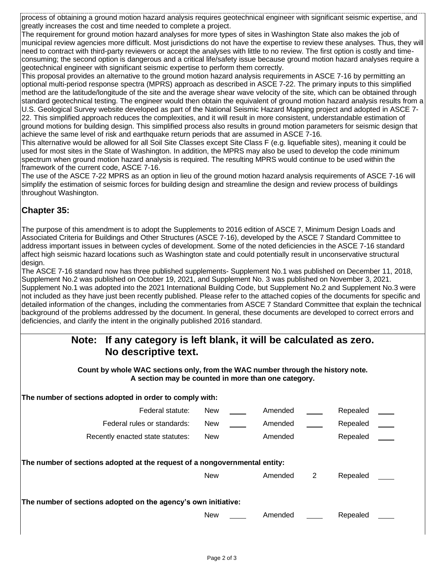process of obtaining a ground motion hazard analysis requires geotechnical engineer with significant seismic expertise, and greatly increases the cost and time needed to complete a project.

The requirement for ground motion hazard analyses for more types of sites in Washington State also makes the job of municipal review agencies more difficult. Most jurisdictions do not have the expertise to review these analyses. Thus, they will need to contract with third-party reviewers or accept the analyses with little to no review. The first option is costly and timeconsuming; the second option is dangerous and a critical life/safety issue because ground motion hazard analyses require a geotechnical engineer with significant seismic expertise to perform them correctly.

This proposal provides an alternative to the ground motion hazard analysis requirements in ASCE 7-16 by permitting an optional multi-period response spectra (MPRS) approach as described in ASCE 7-22. The primary inputs to this simplified method are the latitude/longitude of the site and the average shear wave velocity of the site, which can be obtained through standard geotechnical testing. The engineer would then obtain the equivalent of ground motion hazard analysis results from a U.S. Geological Survey website developed as part of the National Seismic Hazard Mapping project and adopted in ASCE 7- 22. This simplified approach reduces the complexities, and it will result in more consistent, understandable estimation of ground motions for building design. This simplified process also results in ground motion parameters for seismic design that achieve the same level of risk and earthquake return periods that are assumed in ASCE 7-16.

This alternative would be allowed for all Soil Site Classes except Site Class F (e.g. liquefiable sites), meaning it could be used for most sites in the State of Washington. In addition, the MPRS may also be used to develop the code minimum spectrum when ground motion hazard analysis is required. The resulting MPRS would continue to be used within the framework of the current code, ASCE 7-16.

The use of the ASCE 7-22 MPRS as an option in lieu of the ground motion hazard analysis requirements of ASCE 7-16 will simplify the estimation of seismic forces for building design and streamline the design and review process of buildings throughout Washington.

### **Chapter 35:**

The purpose of this amendment is to adopt the Supplements to 2016 edition of ASCE 7, Minimum Design Loads and Associated Criteria for Buildings and Other Structures (ASCE 7-16), developed by the ASCE 7 Standard Committee to address important issues in between cycles of development. Some of the noted deficiencies in the ASCE 7-16 standard affect high seismic hazard locations such as Washington state and could potentially result in unconservative structural design.

The ASCE 7-16 standard now has three published supplements- Supplement No.1 was published on December 11, 2018, Supplement No.2 was published on October 19, 2021, and Supplement No. 3 was published on November 3, 2021. Supplement No.1 was adopted into the 2021 International Building Code, but Supplement No.2 and Supplement No.3 were not included as they have just been recently published. Please refer to the attached copies of the documents for specific and detailed information of the changes, including the commentaries from ASCE 7 Standard Committee that explain the technical background of the problems addressed by the document. In general, these documents are developed to correct errors and deficiencies, and clarify the intent in the originally published 2016 standard.

## **Note: If any category is left blank, it will be calculated as zero. No descriptive text.**

**Count by whole WAC sections only, from the WAC number through the history note. A section may be counted in more than one category.**

| The number of sections adopted in order to comply with:                    |            |         |   |          |  |
|----------------------------------------------------------------------------|------------|---------|---|----------|--|
| Federal statute:                                                           | <b>New</b> | Amended |   | Repealed |  |
| Federal rules or standards:                                                | <b>New</b> | Amended |   | Repealed |  |
| Recently enacted state statutes:                                           | <b>New</b> | Amended |   | Repealed |  |
| The number of sections adopted at the request of a nongovernmental entity: | <b>New</b> | Amended | 2 | Repealed |  |
| The number of sections adopted on the agency's own initiative:             |            |         |   |          |  |
|                                                                            | <b>New</b> | Amended |   | Repealed |  |
|                                                                            |            |         |   |          |  |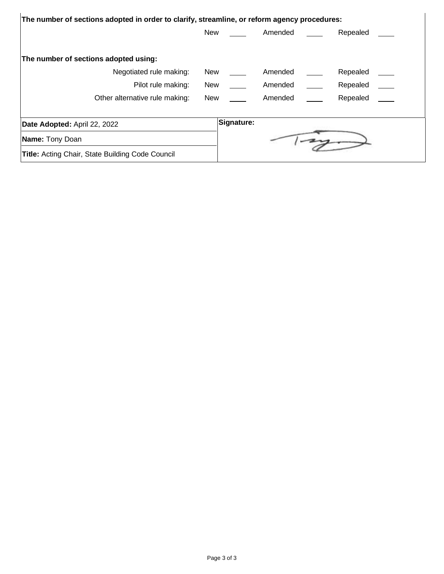| The number of sections adopted in order to clarify, streamline, or reform agency procedures: |            |         |          |
|----------------------------------------------------------------------------------------------|------------|---------|----------|
|                                                                                              | New        | Amended | Repealed |
| The number of sections adopted using:                                                        |            |         |          |
| Negotiated rule making:                                                                      | <b>New</b> | Amended | Repealed |
| Pilot rule making:                                                                           | <b>New</b> | Amended | Repealed |
| Other alternative rule making:                                                               | New        | Amended | Repealed |
| Date Adopted: April 22, 2022                                                                 | Signature: |         |          |
| Name: Tony Doan                                                                              |            |         |          |
| <b>Title:</b> Acting Chair, State Building Code Council                                      |            |         |          |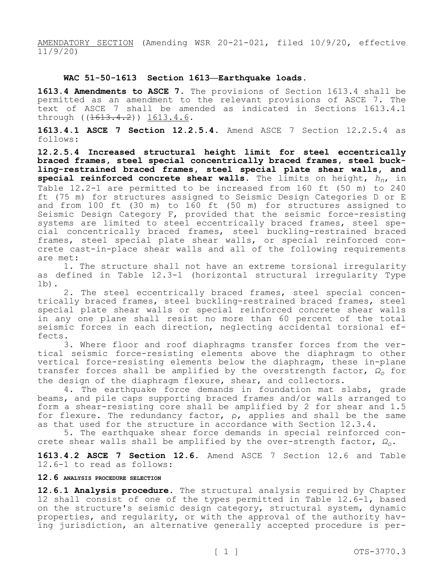AMENDATORY SECTION (Amending WSR 20-21-021, filed 10/9/20, effective  $11/9/20$ 

#### **WAC 51-50-1613 Section 1613—Earthquake loads.**

**1613.4 Amendments to ASCE 7.** The provisions of Section 1613.4 shall be permitted as an amendment to the relevant provisions of ASCE 7. The text of ASCE 7 shall be amended as indicated in Sections 1613.4.1 through ((<del>1613.4.2</del>)) 1613.4.6.

**1613.4.1 ASCE 7 Section 12.2.5.4.** Amend ASCE 7 Section 12.2.5.4 as follows:

**12.2.5.4 Increased structural height limit for steel eccentrically braced frames, steel special concentrically braced frames, steel buckling-restrained braced frames, steel special plate shear walls, and special reinforced concrete shear walls.** The limits on height, *hn*, in Table 12.2-1 are permitted to be increased from 160 ft (50 m) to 240 ft (75 m) for structures assigned to Seismic Design Categories D or E and from 100 ft (30 m) to 160 ft (50 m) for structures assigned to Seismic Design Category F, provided that the seismic force-resisting systems are limited to steel eccentrically braced frames, steel special concentrically braced frames, steel buckling-restrained braced frames, steel special plate shear walls, or special reinforced concrete cast-in-place shear walls and all of the following requirements are met:

1. The structure shall not have an extreme torsional irregularity as defined in Table 12.3-1 (horizontal structural irregularity Type 1b).

2. The steel eccentrically braced frames, steel special concentrically braced frames, steel buckling-restrained braced frames, steel special plate shear walls or special reinforced concrete shear walls in any one plane shall resist no more than 60 percent of the total seismic forces in each direction, neglecting accidental torsional effects.

3. Where floor and roof diaphragms transfer forces from the vertical seismic force-resisting elements above the diaphragm to other vertical force-resisting elements below the diaphragm, these in-plane transfer forces shall be amplified by the overstrength factor, *Ω<sup>o</sup>* for the design of the diaphragm flexure, shear, and collectors.

4. The earthquake force demands in foundation mat slabs, grade beams, and pile caps supporting braced frames and/or walls arranged to form a shear-resisting core shall be amplified by 2 for shear and 1.5 for flexure. The redundancy factor, ρ, applies and shall be the same as that used for the structure in accordance with Section 12.3.4.

5. The earthquake shear force demands in special reinforced concrete shear walls shall be amplified by the over-strength factor, *Ωo*.

**1613.4.2 ASCE 7 Section 12.6.** Amend ASCE 7 Section 12.6 and Table 12.6-1 to read as follows:

#### **12.6 ANALYSIS PROCEDURE SELECTION**

**12.6.1 Analysis procedure.** The structural analysis required by Chapter 12 shall consist of one of the types permitted in Table 12.6-1, based on the structure's seismic design category, structural system, dynamic properties, and regularity, or with the approval of the authority having jurisdiction, an alternative generally accepted procedure is per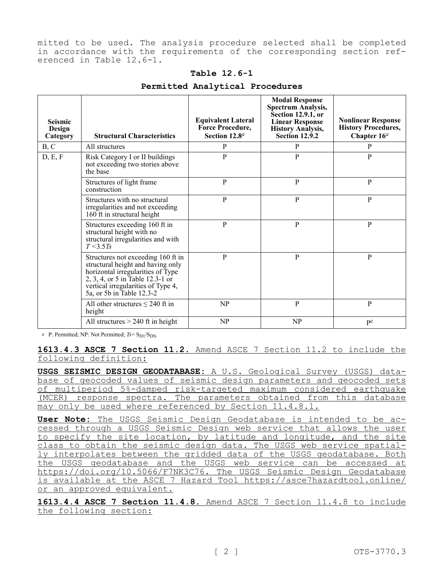mitted to be used. The analysis procedure selected shall be completed in accordance with the requirements of the corresponding section referenced in Table 12.6-1.

#### **Table 12.6-1**

| <b>Seismic</b><br>Design<br>Category | <b>Structural Characteristics</b>                                                                                                                                                                                   | <b>Equivalent Lateral</b><br>Force Procedure,<br>Section 12.8 <sup>a</sup> | <b>Modal Response</b><br><b>Spectrum Analysis,</b><br><b>Section 12.9.1, or</b><br><b>Linear Response</b><br><b>History Analysis,</b><br><b>Section 12.9.2</b> | <b>Nonlinear Response</b><br><b>History Procedures,</b><br>Chapter $16^a$ |
|--------------------------------------|---------------------------------------------------------------------------------------------------------------------------------------------------------------------------------------------------------------------|----------------------------------------------------------------------------|----------------------------------------------------------------------------------------------------------------------------------------------------------------|---------------------------------------------------------------------------|
| B, C                                 | All structures                                                                                                                                                                                                      | P                                                                          | P                                                                                                                                                              | P                                                                         |
| D, E, F                              | Risk Category I or II buildings<br>not exceeding two stories above<br>the base                                                                                                                                      | $\overline{P}$                                                             | $\mathbf{P}$                                                                                                                                                   | $\mathbf{P}$                                                              |
|                                      | Structures of light frame<br>construction                                                                                                                                                                           | P                                                                          | P                                                                                                                                                              | P                                                                         |
|                                      | Structures with no structural<br>irregularities and not exceeding<br>160 ft in structural height                                                                                                                    | P                                                                          | P                                                                                                                                                              | P                                                                         |
|                                      | Structures exceeding 160 ft in<br>structural height with no<br>structural irregularities and with<br>$T < 3.5T_s$                                                                                                   | $\mathbf{P}$                                                               | P                                                                                                                                                              | P                                                                         |
|                                      | Structures not exceeding 160 ft in<br>structural height and having only<br>horizontal irregularities of Type<br>2, 3, 4, or 5 in Table 12.3-1 or<br>vertical irregularities of Type 4,<br>5a, or 5b in Table 12.3-2 | P                                                                          | P                                                                                                                                                              | $\mathbf{P}$                                                              |
|                                      | All other structures $\leq$ 240 ft in<br>height                                                                                                                                                                     | NP                                                                         | P                                                                                                                                                              | P                                                                         |
|                                      | All structures $> 240$ ft in height                                                                                                                                                                                 | NP                                                                         | N <sub>P</sub>                                                                                                                                                 | $p$ c                                                                     |

#### **Permitted Analytical Procedures**

a P: Permitted; NP: Not Permitted;  $Ts = S_{D1}/S_{DS}$ .

**1613.4.3 ASCE 7 Section 11.2.** Amend ASCE 7 Section 11.2 to include the following definition:

**USGS SEISMIC DESIGN GEODATABASE:** A U.S. Geological Survey (USGS) database of geocoded values of seismic design parameters and geocoded sets of multiperiod 5%-damped risk-targeted maximum considered earthquake (MCER) response spectra. The parameters obtained from this database may only be used where referenced by Section 11.4.8.1.

**User Note:** The USGS Seismic Design Geodatabase is intended to be accessed through a USGS Seismic Design web service that allows the user to specify the site location, by latitude and longitude, and the site class to obtain the seismic design data. The USGS web service spatially interpolates between the gridded data of the USGS geodatabase. Both the USGS geodatabase and the USGS web service can be accessed at https://doi.org/10.5066/F7NK3C76. The USGS Seismic Design Geodatabase is available at the ASCE 7 Hazard Tool https://asce7hazardtool.online/ or an approved equivalent.

**1613.4.4 ASCE 7 Section 11.4.8.** Amend ASCE 7 Section 11.4.8 to include the following section: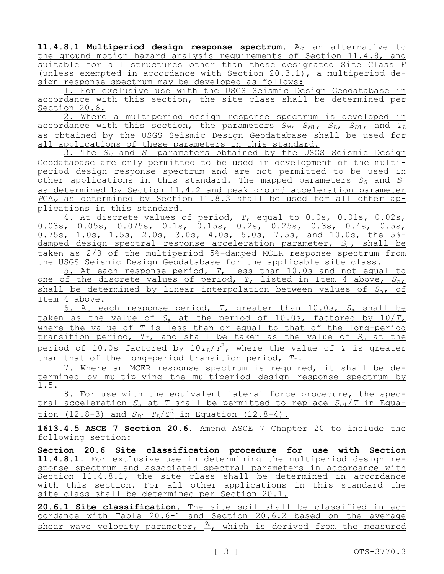**11.4.8.1 Multiperiod design response spectrum.** As an alternative to the ground motion hazard analysis requirements of Section 11.4.8, and suitable for all structures other than those designated Site Class F (unless exempted in accordance with Section 20.3.1), a multiperiod design response spectrum may be developed as follows:

1. For exclusive use with the USGS Seismic Design Geodatabase in accordance with this section, the site class shall be determined per Section 20.6.

2. Where a multiperiod design response spectrum is developed in accordance with this section, the parameters *SM*, *SM*1, *SD*, *SD*1, and *T<sup>L</sup>* as obtained by the USGS Seismic Design Geodatabase shall be used for all applications of these parameters in this standard.

3. The *S<sup>S</sup>* and *S*<sup>1</sup> parameters obtained by the USGS Seismic Design Geodatabase are only permitted to be used in development of the multiperiod design response spectrum and are not permitted to be used in other applications in this standard. The mapped parameters  $S_S$  and  $S_1$ as determined by Section 11.4.2 and peak ground acceleration parameter *P*GA*<sup>M</sup>* as determined by Section 11.8.3 shall be used for all other applications in this standard.

4. At discrete values of period, *T*, equal to 0.0s, 0.01s, 0.02s, 0.03s, 0.05s, 0.075s, 0.1s, 0.15s, 0.2s, 0.25s, 0.3s, 0.4s, 0.5s, 0.75s, 1.0s, 1.5s, 2.0s, 3.0s, 4.0s, 5.0s, 7.5s, and 10.0s, the 5% damped design spectral response acceleration parameter, *S*a, shall be taken as 2/3 of the multiperiod 5%-damped MCER response spectrum from the USGS Seismic Design Geodatabase for the applicable site class.

5. At each response period, *T*, less than 10.0s and not equal to one of the discrete values of period, *T*, listed in Item 4 above, *S*a, shall be determined by linear interpolation between values of *S*a, of Item 4 above.

6. At each response period, *T*, greater than 10.0s, *S*<sup>a</sup> shall be taken as the value of  $S<sub>a</sub>$  at the period of 10.0s, factored by  $10/T<sub>L</sub>$ where the value of *T* is less than or equal to that of the long-period transition period, *TL*, and shall be taken as the value of *S*<sup>a</sup> at the period of 10.0s factored by 10*TL*/*T* <sup>2</sup>, where the value of *T* is greater than that of the long-period transition period, *TL*.

7. Where an MCER response spectrum is required, it shall be determined by multiplying the multiperiod design response spectrum by 1.5.

8. For use with the equivalent lateral force procedure, the spectral acceleration  $S_A$  at *T* shall be permitted to replace  $S_{D1}/T$  in Equation (12.8-3) and  $S_{D1}$   $T_L/T^2$  in Equation (12.8-4).

**1613.4.5 ASCE 7 Section 20.6.** Amend ASCE 7 Chapter 20 to include the following section:

**Section 20.6 Site classification procedure for use with Section 11.4.8.1.** For exclusive use in determining the multiperiod design response spectrum and associated spectral parameters in accordance with Section 11.4.8.1, the site class shall be determined in accordance with this section. For all other applications in this standard the site class shall be determined per Section 20.1.

**20.6.1 Site classification.** The site soil shall be classified in accordance with Table 20.6-1 and Section 20.6.2 based on the average shear wave velocity parameter,  $\frac{\bar{v}_s}{\bar{v}_s}$ , which is derived from the measured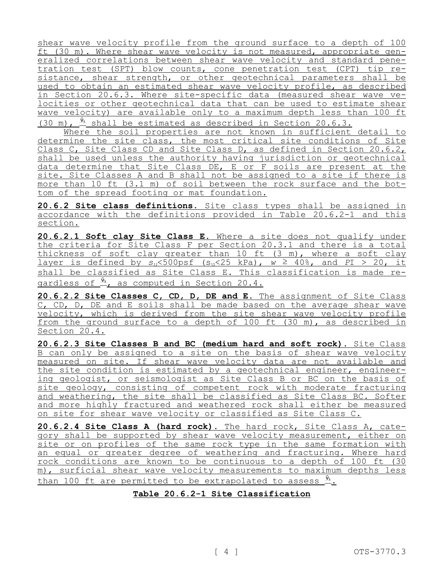shear wave velocity profile from the ground surface to a depth of 100 ft (30 m). Where shear wave velocity is not measured, appropriate generalized correlations between shear wave velocity and standard penetration test (SPT) blow counts, cone penetration test (CPT) tip resistance, shear strength, or other geotechnical parameters shall be used to obtain an estimated shear wave velocity profile, as described in Section 20.6.3. Where site-specific data (measured shear wave velocities or other geotechnical data that can be used to estimate shear wave velocity) are available only to a maximum depth less than 100 ft (30 m),  $\frac{\bar{y}_s}{\pm}$  shall be estimated as described in Section 20.6.3.

Where the soil properties are not known in sufficient detail to determine the site class, the most critical site conditions of Site Class C, Site Class CD and Site Class D, as defined in Section 20.6.2, shall be used unless the authority having jurisdiction or geotechnical data determine that Site Class DE, E or F soils are present at the site. Site Classes A and B shall not be assigned to a site if there is more than 10 ft (3.1 m) of soil between the rock surface and the bottom of the spread footing or mat foundation.

**20.6.2 Site class definitions.** Site class types shall be assigned in accordance with the definitions provided in Table 20.6.2-1 and this section.

**20.6.2.1 Soft clay Site Class E.** Where a site does not qualify under the criteria for Site Class F per Section 20.3.1 and there is a total thickness of soft clay greater than 10 ft (3 m), where a soft clay layer is defined by  $s_n$ <500psf ( $s_n$ <25 kPa),  $w \ge 40$ %, and  $PI > 20$ , it shall be classified as Site Class E. This classification is made regardless of  $\frac{\bar{v}_s}{\cdots}$ , as computed in Section 20.4.

**20.6.2.2 Site Classes C, CD, D, DE and E.** The assignment of Site Class C, CD, D, DE and E soils shall be made based on the average shear wave velocity, which is derived from the site shear wave velocity profile from the ground surface to a depth of 100 ft (30 m), as described in Section 20.4.

**20.6.2.3 Site Classes B and BC (medium hard and soft rock).** Site Class B can only be assigned to a site on the basis of shear wave velocity measured on site. If shear wave velocity data are not available and the site condition is estimated by a geotechnical engineer, engineering geologist, or seismologist as Site Class B or BC on the basis of site geology, consisting of competent rock with moderate fracturing and weathering, the site shall be classified as Site Class BC. Softer and more highly fractured and weathered rock shall either be measured on site for shear wave velocity or classified as Site Class C.

**20.6.2.4 Site Class A (hard rock).** The hard rock, Site Class A, category shall be supported by shear wave velocity measurement, either on site or on profiles of the same rock type in the same formation with an equal or greater degree of weathering and fracturing. Where hard rock conditions are known to be continuous to a depth of 100 ft (30 m), surficial shear wave velocity measurements to maximum depths less than 100 ft are permitted to be extrapolated to assess  $\frac{\bar{v}_s}{\cdot}$ .

#### **Table 20.6.2-1 Site Classification**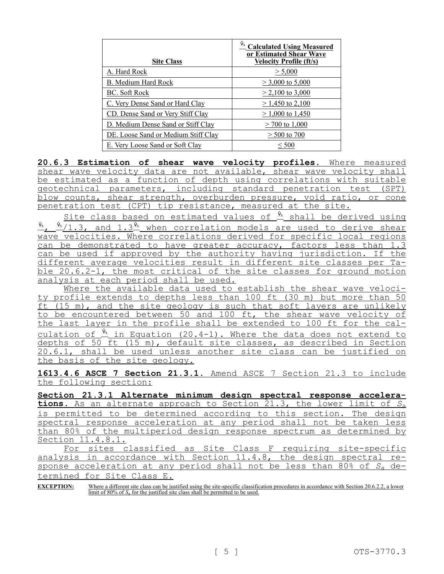| <b>Site Class</b>                   | <u><sup>V<sub>s</sub> Calculated Using Measured</sup></u><br>or Estimated Shear Wave<br><b>Velocity Profile (ft/s)</b> |
|-------------------------------------|------------------------------------------------------------------------------------------------------------------------|
| A. Hard Rock                        | > 5,000                                                                                                                |
| B. Medium Hard Rock                 | $>$ 3,000 to 5,000                                                                                                     |
| BC. Soft Rock                       | $\geq$ 2,100 to 3,000                                                                                                  |
| C. Very Dense Sand or Hard Clay     | $\geq$ 1,450 to 2,100                                                                                                  |
| CD. Dense Sand or Very Stiff Clay   | $> 1,000$ to 1,450                                                                                                     |
| D. Medium Dense Sand or Stiff Clay  | $>$ 700 to 1,000                                                                                                       |
| DE. Loose Sand or Medium Stiff Clay | $>$ 500 to 700                                                                                                         |
| E. Very Loose Sand or Soft Clay     | ${}<$ 500                                                                                                              |

**20.6.3 Estimation of shear wave velocity profiles.** Where measured shear wave velocity data are not available, shear wave velocity shall be estimated as a function of depth using correlations with suitable geotechnical parameters, including standard penetration test (SPT) blow counts, shear strength, overburden pressure, void ratio, or cone penetration test (CPT) tip resistance, measured at the site.

Site class based on estimated values of  $\frac{\bar{v}_s}{\bar{v}_s}$  shall be derived using  $\frac{\bar{v}_s}{\mu}$ ,  $\frac{\bar{v}_s}{1.3}$ , and  $1.3\frac{\bar{v}_s}{\mu}$  when correlation models are used to derive shear wave velocities. Where correlations derived for specific local regions can be demonstrated to have greater accuracy, factors less than 1.3 can be used if approved by the authority having jurisdiction. If the different average velocities result in different site classes per Table 20.6.2-1, the most critical of the site classes for ground motion analysis at each period shall be used.

Where the available data used to establish the shear wave velocity profile extends to depths less than 100 ft (30 m) but more than 50 ft (15 m), and the site geology is such that soft layers are unlikely to be encountered between 50 and 100 ft, the shear wave velocity of the last layer in the profile shall be extended to 100 ft for the calculation of  $\frac{\bar{v}_s}{\bar{v}_s}$  in Equation (20.4-1). Where the data does not extend to depths of 50 ft (15 m), default site classes, as described in Section 20.6.1, shall be used unless another site class can be justified on the basis of the site geology.

**1613.4.6 ASCE 7 Section 21.3.1.** Amend ASCE 7 Section 21.3 to include the following section:

**Section 21.3.1 Alternate minimum design spectral response accelerations.** As an alternate approach to Section 21.3, the lower limit of *S*<sup>a</sup> is permitted to be determined according to this section. The design spectral response acceleration at any period shall not be taken less than 80% of the multiperiod design response spectrum as determined by Section 11.4.8.1.

For sites classified as Site Class F requiring site-specific analysis in accordance with Section 11.4.8, the design spectral response acceleration at any period shall not be less than 80% of *S*<sup>a</sup> determined for Site Class E.

**EXCEPTION:** Where a different site class can be justified using the site-specific classification procedures in accordance with Section 20.6.2.2, a lower limit of 80% of *S*<sup>a</sup> for the justified site class shall be permitted to be used.